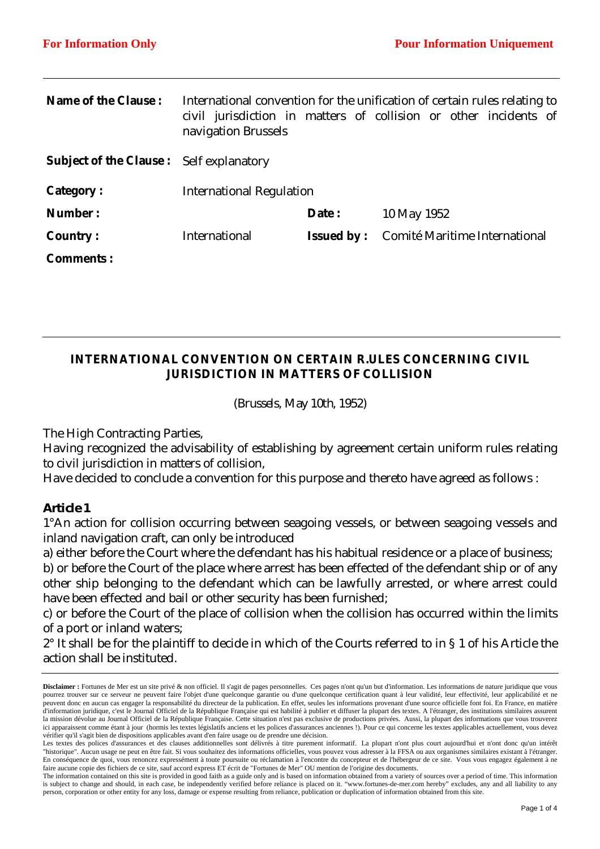| navigation Brussels  |                                                |                                 |                                                                                                                                               |
|----------------------|------------------------------------------------|---------------------------------|-----------------------------------------------------------------------------------------------------------------------------------------------|
|                      |                                                |                                 |                                                                                                                                               |
|                      |                                                |                                 |                                                                                                                                               |
|                      | Date:                                          | 10 May 1952                     |                                                                                                                                               |
| <b>International</b> | <b>Issued by:</b>                              | Comité Maritime International   |                                                                                                                                               |
|                      |                                                |                                 |                                                                                                                                               |
|                      | <b>Subject of the Clause:</b> Self explanatory | <b>International Regulation</b> | International convention for the unification of certain rules relating to<br>civil jurisdiction in matters of collision or other incidents of |

# **INTERNATIONAL CONVENTION ON CERTAIN R.ULES CONCERNING CIVIL JURISDICTION IN MATTERS OF COLLISION**

*(Brussels, May 10th, 1952)* 

The High Contracting Parties,

Having recognized the advisability of establishing by agreement certain uniform rules relating to civil jurisdiction in matters of collision,

Have decided to conclude a convention for this purpose and thereto have agreed as follows :

### *Article 1*

1°An action for collision occurring between seagoing vessels, or between seagoing vessels and inland navigation craft, can only be introduced

a) either before the Court where the defendant has his habitual residence or a place of business;

b) or before the Court of the place where arrest has been effected of the defendant ship or of any other ship belonging to the defendant which can be lawfully arrested, or where arrest could have been effected and bail or other security has been furnished;

c) or before the Court of the place of collision when the collision has occurred within the limits of a port or inland waters;

2° It shall be for the plaintiff to decide in which of the Courts referred to in § 1 of his Article the action shall be instituted.

**Disclaimer :** Fortunes de Mer est un site privé & non officiel. Il s'agit de pages personnelles. Ces pages n'ont qu'un but d'information. Les informations de nature juridique que vous pourrez trouver sur ce serveur ne peuvent faire l'objet d'une quelconque garantie ou d'une quelconque certification quant à leur validité, leur effectivité, leur applicabilité et ne peuvent donc en aucun cas engager la responsabilité du directeur de la publication. En effet, seules les informations provenant d'une source officielle font foi. En France, en matière d'information juridique, c'est le Journal Officiel de la République Française qui est habilité à publier et diffuser la plupart des textes. A l'étranger, des institutions similaires assurent la mission dévolue au Journal Officiel de la République Française. Cette situation n'est pas exclusive de productions privées. Aussi, la plupart des informations que vous trouverez ici apparaissent comme étant à jour (hormis les textes législatifs anciens et les polices d'assurances anciennes !). Pour ce qui concerne les textes applicables actuellement, vous devez vérifier qu'il s'agit bien de dispositions applicables avant d'en faire usage ou de prendre une décision.

Les textes des polices d'assurances et des clauses additionnelles sont délivrés à titre purement informatif. La plupart n'ont plus court aujourd'hui et n'ont donc qu'un intérêt "historique". Aucun usage ne peut en être fait. Si vous souhaitez des informations officielles, vous pouvez vous adresser à la FFSA ou aux organismes similaires existant à l'étranger. En conséquence de quoi, vous renoncez expressément à toute poursuite ou réclamation à l'encontre du concepteur et de l'hébergeur de ce site. Vous vous engagez également à ne faire aucune copie des fichiers de ce site, sauf accord express ET écrit de "Fortunes de Mer" OU mention de l'origine des documents.

The information contained on this site is provided in good faith as a guide only and is based on information obtained from a variety of sources over a period of time. This information is subject to change and should, in each case, be independently verified before reliance is placed on it. "www.fortunes-de-mer.com hereby" excludes, any and all liability to any person, corporation or other entity for any loss, damage or expense resulting from reliance, publication or duplication of information obtained from this site.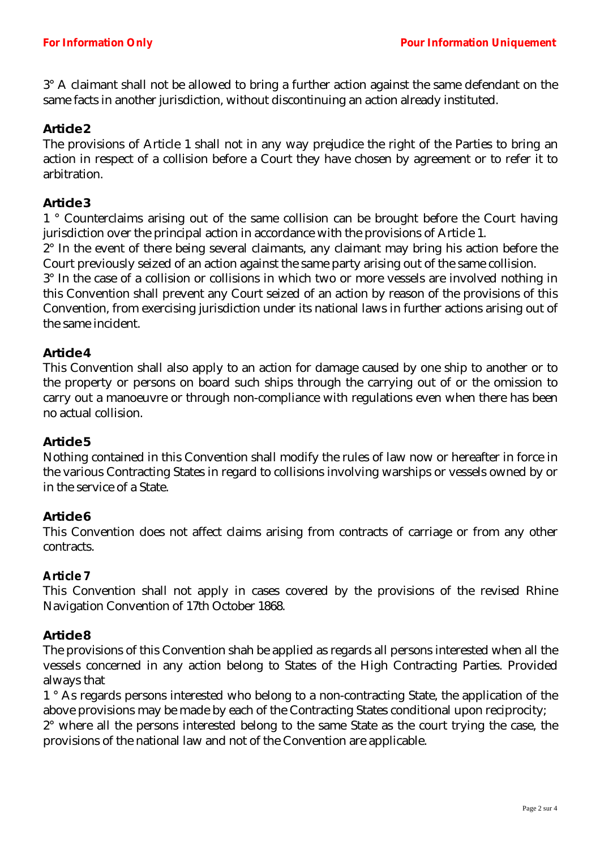3° A claimant shall not be allowed to bring a further action against the same defendant on the same facts in another jurisdiction, without discontinuing an action already instituted.

## *Article 2*

The provisions of Article 1 shall not in any way prejudice the right of the Parties to bring an action in respect of a collision before a Court they have chosen by agreement or to refer it to arbitration.

### *Article 3*

1 ° Counterclaims arising out of the same collision can be brought before the Court having jurisdiction over the principal action in accordance with the provisions of Article 1.

2° In the event of there being several claimants, any claimant may bring his action before the Court previously seized of an action against the same party arising out of the same collision.

3° In the case of a collision or collisions in which two or more vessels are involved nothing in this Convention shall prevent any Court seized of an action by reason of the provisions of this Convention, from exercising jurisdiction under its national laws in further actions arising out of the same incident.

## *Article 4*

This Convention shall also apply to an action for damage caused by one ship to another or to the property or persons on board such ships through the carrying out of or the omission to carry out a manoeuvre or through non-compliance with regulations even when there has been no actual collision.

### *Article 5*

Nothing contained in this Convention shall modify the rules of law now or hereafter in force in the various Contracting States in regard to collisions involving warships or vessels owned by or in the service of a State.

### *Article 6*

This Convention does not affect claims arising from contracts of carriage or from any other contracts.

#### **Article 7**

This Convention shall not apply in cases covered by the provisions of the revised Rhine Navigation Convention of 17th October 1868.

### *Article 8*

The provisions of this Convention shah be applied as regards all persons interested when all the vessels concerned in any action belong to States of the High Contracting Parties. Provided always that

1 ° As regards persons interested who belong to a non-contracting State, the application of the above provisions may be made by each of the Contracting States conditional upon reciprocity;

2° where all the persons interested belong to the same State as the court trying the case, the provisions of the national law and not of the Convention are applicable.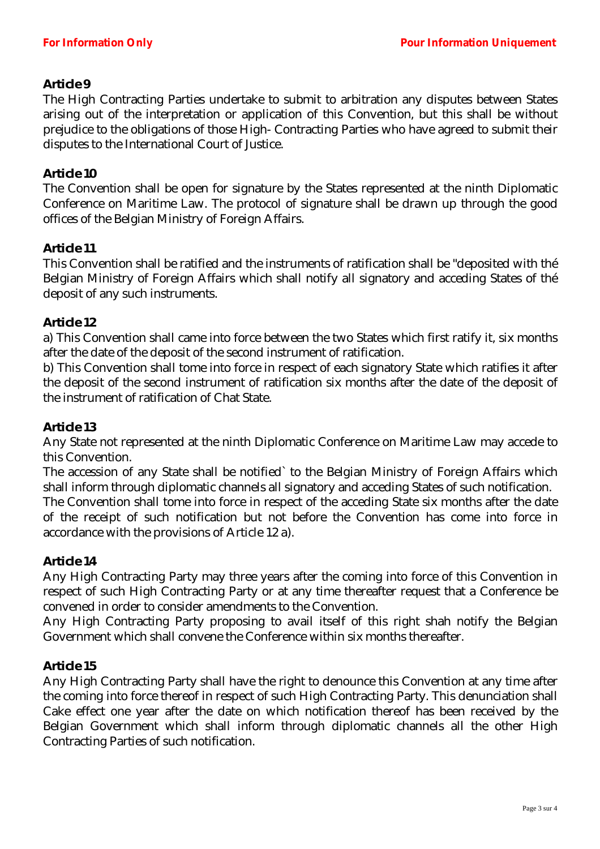## *Article 9*

The High Contracting Parties undertake to submit to arbitration any disputes between States arising out of the interpretation or application of this Convention, but this shall be without prejudice to the obligations of those High- Contracting Parties who have agreed to submit their disputes to the International Court of Justice.

### *Article 10*

The Convention shall be open for signature by the States represented at the ninth Diplomatic Conference on Maritime Law. The protocol of signature shall be drawn up through the good offices of the Belgian Ministry of Foreign Affairs.

### *Article 11*

This Convention shall be ratified and the instruments of ratification shall be "deposited with thé Belgian Ministry of Foreign Affairs which shall notify all signatory and acceding States of thé deposit of any such instruments.

### *Article 12*

a) This Convention shall came into force between the two States which first ratify it, six months after the date of the deposit of the second instrument of ratification.

b) This Convention shall tome into force in respect of each signatory State which ratifies it after the deposit of the second instrument of ratification six months after the date of the deposit of the instrument of ratification of Chat State.

#### *Article 13*

Any State not represented at the ninth Diplomatic Conference on Maritime Law may accede to this Convention.

The accession of any State shall be notified` to the Belgian Ministry of Foreign Affairs which shall inform through diplomatic channels all signatory and acceding States of such notification. The Convention shall tome into force in respect of the acceding State six months after the date of the receipt of such notification but not before the Convention has come into force in

# *Article 14*

accordance with the provisions of Article 12 a).

Any High Contracting Party may three years after the coming into force of this Convention in respect of such High Contracting Party or at any time thereafter request that a Conference be convened in order to consider amendments to the Convention.

Any High Contracting Party proposing to avail itself of this right shah notify the Belgian Government which shall convene the Conference within six months thereafter.

### *Article 15*

Any High Contracting Party shall have the right to denounce this Convention at any time after the coming into force thereof in respect of such High Contracting Party. This denunciation shall Cake effect one year after the date on which notification thereof has been received by the Belgian Government which shall inform through diplomatic channels all the other High Contracting Parties of such notification.